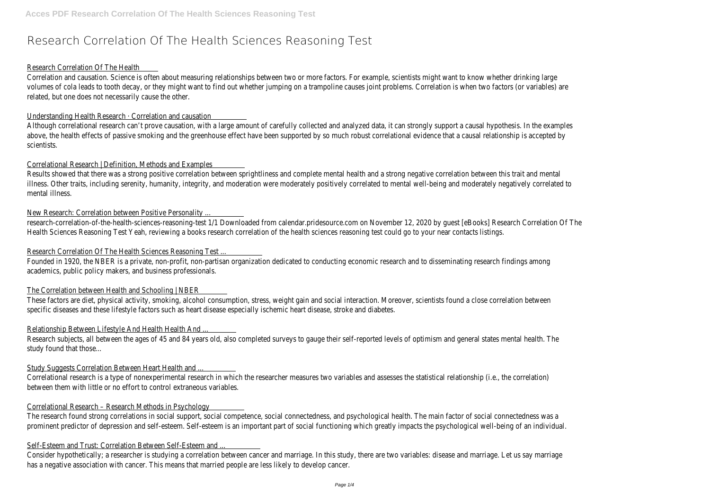# **Research Correlation Of The Health Sciences Reasoning Test**

#### Research Correlation Of The Hea

Correlation and causation. Science is often about measuring relationships between two or more factors. For example, scientists might want to know whether volumes of cola leads to tooth decay, or they might want to find out whether jumping on a trampoline causes joint problems. Correlation is when two factors (c related, but one does not necessarily cause the other

#### Understanding Health Research · Correlation and causation

Although correlational research can't prove causation, with a large amount of carefully collected and analyzed data, it can strongly support a causal hypothesis. In above, the health effects of passive smoking and the greenhouse effect have been supported by so much robust correlational evidence that a causal relationship **scientists** 

## Correlational Research | Definition, Methods and Exam

Results showed that there was a strong positive correlation between sprightliness and complete mental health and a strong negative correlation between this t illness. Other traits, including serenity, humanity, integrity, and moderation were moderately positively correlated to mental well-being and moderately negatively mental illness.

#### New Research: Correlation between Positive Personal

research-correlation-of-the-health-sciences-reasoning-test 1/1 Downloaded from calendar.pridesource.com on November 12, 2020 by quest [eBooks] Research Corr Health Sciences Reasoning Test Yeah, reviewing a books research correlation of the health sciences reasoning test could go to your near cont

#### Research Correlation Of The Health Sciences Reasoning To

Founded in 1920, the NBER is a private, non-profit, non-partisan organization dedicated to conducting economic research and to disseminating research fi academics, public policy makers, and business profession

#### The Correlation between Health and Schooling | N

These factors are diet, physical activity, smoking, alcohol consumption, stress, weight gain and social interaction. Moreover, scientists found a close correla specific diseases and these lifestyle factors such as heart disease especially ischemic heart disease, stroke and

#### Relationship Between Lifestyle And Health Health A

Research subjects, all between the ages of 45 and 84 years old, also completed surveys to gauge their self-reported levels of optimism and general states men study found that those

#### Study Suggests Correlation Between Heart Health and ...

Correlational research is a type of nonexperimental research in which the researcher measures two variables and assesses the statistical relationship (i.e., th between them with little or no effort to control extraneous variables.

#### Correlational Research – Research Methods in Psychology

The research found strong correlations in social support, social competence, social connectedness, and psychological health. The main factor of social connectednes prominent predictor of depression and self-esteem. Self-esteem is an important part of social functioning which greatly impacts the psychological well-being o

## Self-Esteem and Trust: Correlation Between Self-Esteem

Consider hypothetically; a researcher is studying a correlation between cancer and marriage. In this study, there are two variables: disease and marriage. Let us has a negative association with cancer. This means that married people are less likely to develop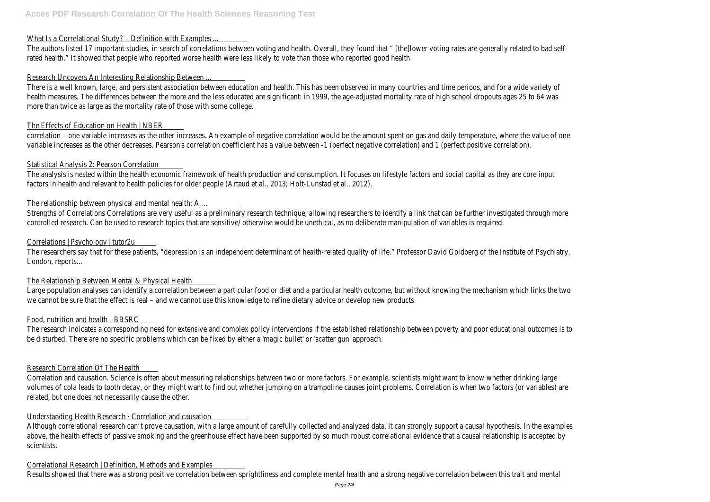#### What Is a Correlational Study? - Definition with Example

The authors listed 17 important studies, in search of correlations between voting and health. Overall, they found that " [the]lower voting rates are generally relat rated health." It showed that people who reported worse health were less likely to vote than those who reported o

#### Research Uncovers An Interesting Relationship Betwe

There is a well known, large, and persistent association between education and health. This has been observed in many countries and time periods, and for a w health measures. The differences between the more and the less educated are significant: in 1999, the age-adjusted mortality rate of high school dropouts ages more than twice as large as the mortality rate of those with some of

## The Effects of Education on Health | N

correlation – one variable increases as the other increases. An example of negative correlation would be the amount spent on gas and daily temperature, where th variable increases as the other decreases. Pearson's correlation coefficient has a value between -1 (perfect negative correlation) and 1 (perfect positive correlation).

## Statistical Analysis 2: Pearson Correlat

The analysis is nested within the health economic framework of health production and consumption. It focuses on lifestyle factors and social capital as they factors in health and relevant to health policies for older people (Artaud et al., 2013; Holt-Lunstad et a

## The relationship between physical and mental health:

Strengths of Correlations Correlations are very useful as a preliminary research technique, allowing researchers to identify a link that can be further investigated controlled research. Can be used to research topics that are sensitive/ otherwise would be unethical, as no deliberate manipulation of variable

#### Correlations | Psychology | tutor

The researchers say that for these patients, "depression is an independent determinant of health-related quality of life." Professor David Goldberg of the Institute London, reports.

## The Relationship Between Mental & Physical He

Large population analyses can identify a correlation between a particular food or diet and a particular health outcome, but without knowing the mechanism whicl we cannot be sure that the effect is real – and we cannot use this knowledge to refine dietary advice or develop new

#### Food, nutrition and health - BBS

The research indicates a corresponding need for extensive and complex policy interventions if the established relationship between poverty and poor educational c be disturbed. There are no specific problems which can be fixed by either a 'magic bullet' or 'scatter gun' a

## Research Correlation Of The Health

Correlation and causation. Science is often about measuring relationships between two or more factors. For example, scientists might want to know whether volumes of cola leads to tooth decay, or they might want to find out whether jumping on a trampoline causes joint problems. Correlation is when two factors (c related, but one does not necessarily cause the of

## Understanding Health Research · Correlation and causation

Although correlational research can't prove causation, with a large amount of carefully collected and analyzed data, it can strongly support a causal hypothesis. In above, the health effects of passive smoking and the greenhouse effect have been supported by so much robust correlational evidence that a causal relationship scientists

## Correlational Research | Definition, Methods and Exam

Results showed that there was a strong positive correlation between sprightliness and complete mental health and a strong negative correlation between this t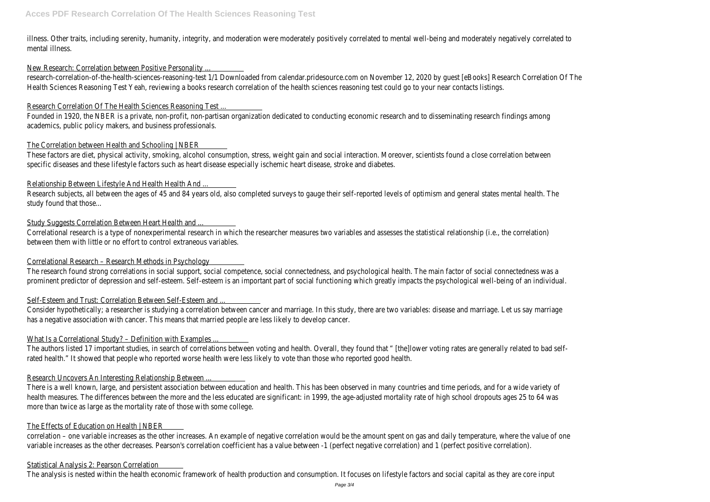illness. Other traits, including serenity, humanity, integrity, and moderation were moderately positively correlated to mental well-being and moderately negatively correlated to mental illness.

## New Research: Correlation between Positive Personal

research-correlation-of-the-health-sciences-reasoning-test 1/1 Downloaded from calendar.pridesource.com on November 12, 2020 by guest [eBooks] Research Corr Health Sciences Reasoning Test Yeah, reviewing a books research correlation of the health sciences reasoning test could go to your near cont

## Research Correlation Of The Health Sciences Reasoning Test

Founded in 1920, the NBER is a private, non-profit, non-partisan organization dedicated to conducting economic research and to disseminating research find academics, public policy makers, and business profession

## The Correlation between Health and Schooling | N

These factors are diet, physical activity, smoking, alcohol consumption, stress, weight gain and social interaction. Moreover, scientists found a close correla specific diseases and these lifestyle factors such as heart disease especially ischemic heart disease, stroke and

## Relationship Between Lifestyle And Health Health A

Research subjects, all between the ages of 45 and 84 years old, also completed surveys to gauge their self-reported levels of optimism and general states men study found that those

## Study Suggests Correlation Between Heart Health and ...

Correlational research is a type of nonexperimental research in which the researcher measures two variables and assesses the statistical relationship (i.e., the correlationship (i.e., the correlationship (i.e., the correla between them with little or no effort to control extraneous variables.

# Correlational Research – Research Methods in Psychology

The research found strong correlations in social support, social competence, social connectedness, and psychological health. The main factor of social connectednes prominent predictor of depression and self-esteem. Self-esteem is an important part of social functioning which greatly impacts the psychological well-being o

# Self-Esteem and Trust: Correlation Between Self-Esteem

Consider hypothetically; a researcher is studying a correlation between cancer and marriage. In this study, there are two variables: disease and marriage. Let us has a negative association with cancer. This means that married people are less likely to develop

## What Is a Correlational Study? - Definition with Examples

The authors listed 17 important studies, in search of correlations between voting and health. Overall, they found that " [the]lower voting rates are generally relat rated health." It showed that people who reported worse health were less likely to vote than those who reported g

# Research Uncovers An Interesting Relationship Betwe

There is a well known, large, and persistent association between education and health. This has been observed in many countries and time periods, and for a w health measures. The differences between the more and the less educated are significant: in 1999, the age-adjusted mortality rate of high school dropouts ages more than twice as large as the mortality rate of those with some of

## The Effects of Education on Health  $\vert$  N

correlation – one variable increases as the other increases. An example of negative correlation would be the amount spent on gas and daily temperature, where th variable increases as the other decreases. Pearson's correlation coefficient has a value between -1 (perfect negative correlation) and 1 (perfect positive correlation).

# Statistical Analysis 2: Pearson Correlat

The analysis is nested within the health economic framework of health production and consumption. It focuses on lifestyle factors and social capital as they